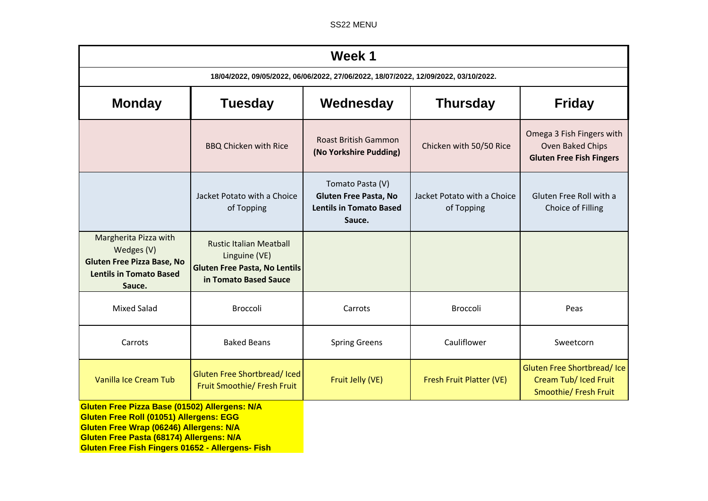SS22 MENU

| Week 1                                                                                                                                                                                 |                                                                                                                  |                                                                                              |                                           |                                                                                  |  |  |
|----------------------------------------------------------------------------------------------------------------------------------------------------------------------------------------|------------------------------------------------------------------------------------------------------------------|----------------------------------------------------------------------------------------------|-------------------------------------------|----------------------------------------------------------------------------------|--|--|
| 18/04/2022, 09/05/2022, 06/06/2022, 27/06/2022, 18/07/2022, 12/09/2022, 03/10/2022.                                                                                                    |                                                                                                                  |                                                                                              |                                           |                                                                                  |  |  |
| <b>Monday</b>                                                                                                                                                                          | <b>Tuesday</b>                                                                                                   | Wednesday                                                                                    | <b>Thursday</b>                           | <b>Friday</b>                                                                    |  |  |
|                                                                                                                                                                                        | <b>BBQ Chicken with Rice</b>                                                                                     | <b>Roast British Gammon</b><br>(No Yorkshire Pudding)                                        | Chicken with 50/50 Rice                   | Omega 3 Fish Fingers with<br>Oven Baked Chips<br><b>Gluten Free Fish Fingers</b> |  |  |
|                                                                                                                                                                                        | Jacket Potato with a Choice<br>of Topping                                                                        | Tomato Pasta (V)<br><b>Gluten Free Pasta, No</b><br><b>Lentils in Tomato Based</b><br>Sauce. | Jacket Potato with a Choice<br>of Topping | Gluten Free Roll with a<br>Choice of Filling                                     |  |  |
| Margherita Pizza with<br>Wedges (V)<br><b>Gluten Free Pizza Base, No</b><br><b>Lentils in Tomato Based</b><br>Sauce.                                                                   | <b>Rustic Italian Meatball</b><br>Linguine (VE)<br><b>Gluten Free Pasta, No Lentils</b><br>in Tomato Based Sauce |                                                                                              |                                           |                                                                                  |  |  |
| <b>Mixed Salad</b>                                                                                                                                                                     | Broccoli                                                                                                         | Carrots                                                                                      | Broccoli                                  | Peas                                                                             |  |  |
| Carrots                                                                                                                                                                                | <b>Baked Beans</b>                                                                                               | <b>Spring Greens</b>                                                                         | Cauliflower                               | Sweetcorn                                                                        |  |  |
| Vanilla Ice Cream Tub                                                                                                                                                                  | Gluten Free Shortbread/Iced<br>Fruit Smoothie/ Fresh Fruit                                                       | Fruit Jelly (VE)                                                                             | Fresh Fruit Platter (VE)                  | Gluten Free Shortbread/Ice<br>Cream Tub/ Iced Fruit<br>Smoothie/ Fresh Fruit     |  |  |
| Gluten Free Pizza Base (01502) Allergens: N/A<br><b>Gluten Free Roll (01051) Allergens: EGG</b><br>Gluten Free Wrap (06246) Allergens: N/A<br>Gluten Free Pasta (68174) Allergens: N/A |                                                                                                                  |                                                                                              |                                           |                                                                                  |  |  |

**Gluten Free Fish Fingers 01652 - Allergens- Fish**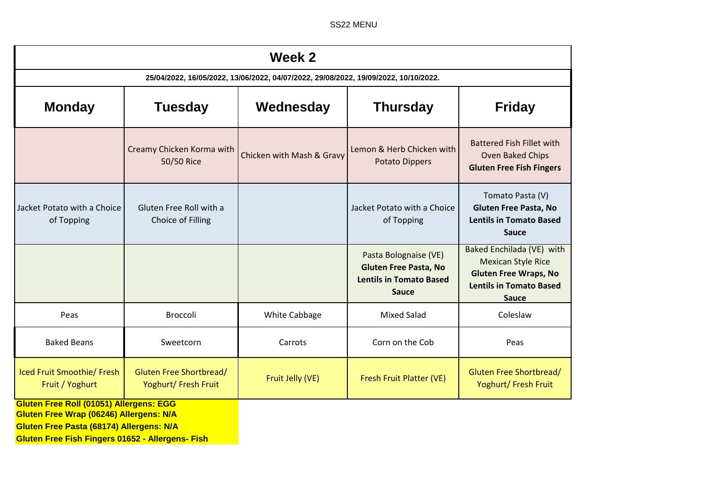SS22 MENU

| Week 2                                                                                    |                                                 |                           |                                                                                                         |                                                                                                                                          |  |  |  |
|-------------------------------------------------------------------------------------------|-------------------------------------------------|---------------------------|---------------------------------------------------------------------------------------------------------|------------------------------------------------------------------------------------------------------------------------------------------|--|--|--|
| 25/04/2022, 16/05/2022, 13/06/2022, 04/07/2022, 29/08/2022, 19/09/2022, 10/10/2022.       |                                                 |                           |                                                                                                         |                                                                                                                                          |  |  |  |
| <b>Monday</b>                                                                             | <b>Tuesday</b>                                  | Wednesday                 | <b>Thursday</b>                                                                                         | <b>Friday</b>                                                                                                                            |  |  |  |
|                                                                                           | Creamy Chicken Korma with<br>50/50 Rice         | Chicken with Mash & Gravy | Lemon & Herb Chicken with<br><b>Potato Dippers</b>                                                      | <b>Battered Fish Fillet with</b><br>Oven Baked Chips<br><b>Gluten Free Fish Fingers</b>                                                  |  |  |  |
| Jacket Potato with a Choice<br>of Topping                                                 | Gluten Free Roll with a<br>Choice of Filling    |                           | Jacket Potato with a Choice<br>of Topping                                                               | Tomato Pasta (V)<br><b>Gluten Free Pasta, No</b><br><b>Lentils in Tomato Based</b><br><b>Sauce</b>                                       |  |  |  |
|                                                                                           |                                                 |                           | Pasta Bolognaise (VE)<br><b>Gluten Free Pasta, No</b><br><b>Lentils in Tomato Based</b><br><b>Sauce</b> | Baked Enchilada (VE) with<br><b>Mexican Style Rice</b><br><b>Gluten Free Wraps, No</b><br><b>Lentils in Tomato Based</b><br><b>Sauce</b> |  |  |  |
| Peas                                                                                      | <b>Broccoli</b>                                 | White Cabbage             | <b>Mixed Salad</b>                                                                                      | Coleslaw                                                                                                                                 |  |  |  |
| <b>Baked Beans</b>                                                                        | Sweetcorn                                       | Carrots                   | Corn on the Cob                                                                                         | Peas                                                                                                                                     |  |  |  |
| Iced Fruit Smoothie/ Fresh<br>Fruit / Yoghurt                                             | Gluten Free Shortbread/<br>Yoghurt/ Fresh Fruit | Fruit Jelly (VE)          | Fresh Fruit Platter (VE)                                                                                | Gluten Free Shortbread/<br>Yoghurt/ Fresh Fruit                                                                                          |  |  |  |
| <b>Gluten Free Roll (01051) Allergens: EGG</b><br>Gluten Free Wrap (06246) Allergens: N/A |                                                 |                           |                                                                                                         |                                                                                                                                          |  |  |  |

**Gluten Free Pasta (68174) Allergens: N/A**

**Gluten Free Fish Fingers 01652 - Allergens- Fish**